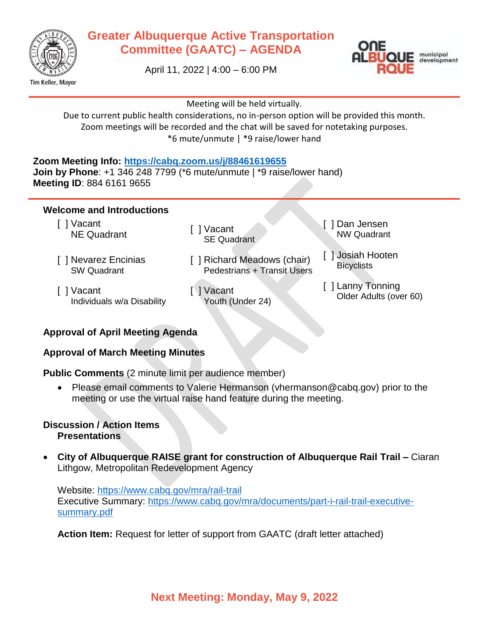

## **Greater Albuquerque Active Transportation Committee (GAATC) – AGENDA**





Meeting will be held virtually.

Due to current public health considerations, no in-person option will be provided this month. Zoom meetings will be recorded and the chat will be saved for notetaking purposes. \*6 mute/unmute | \*9 raise/lower hand

#### **Zoom Meeting Info:<https://cabq.zoom.us/j/88461619655>**

**Join by Phone**: +1 346 248 7799 (\*6 mute/unmute | \*9 raise/lower hand) **Meeting ID**: 884 6161 9655

#### **Welcome and Introductions**

[ ] Vacant vacant [ ] Vacant [ ] Vacant

- [ ] Nevarez Encinias SW Quadrant
- [ ] Vacant Individuals w/a Disability
- SE Quadrant
- [ ] Richard Meadows (chair) Pedestrians + Transit Users
- [ ] Vacant Youth (Under 24)
- [ ] Dan Jensen NW Quadrant
- [ ] Josiah Hooten **Bicyclists**
- [ ] Lanny Tonning Older Adults (over 60)

## **Approval of April Meeting Agenda**

## **Approval of March Meeting Minutes**

**Public Comments** (2 minute limit per audience member)

 Please email comments to Valerie Hermanson (vhermanson@cabq.gov) prior to the meeting or use the virtual raise hand feature during the meeting.

#### **Discussion / Action Items Presentations**

 **City of Albuquerque RAISE grant for construction of Albuquerque Rail Trail –** Ciaran Lithgow, Metropolitan Redevelopment Agency

Website:<https://www.cabq.gov/mra/rail-trail> Executive Summary: [https://www.cabq.gov/mra/documents/part-i-rail-trail-executive](https://www.cabq.gov/mra/documents/part-i-rail-trail-executive-summary.pdf)[summary.pdf](https://www.cabq.gov/mra/documents/part-i-rail-trail-executive-summary.pdf)

**Action Item:** Request for letter of support from GAATC (draft letter attached)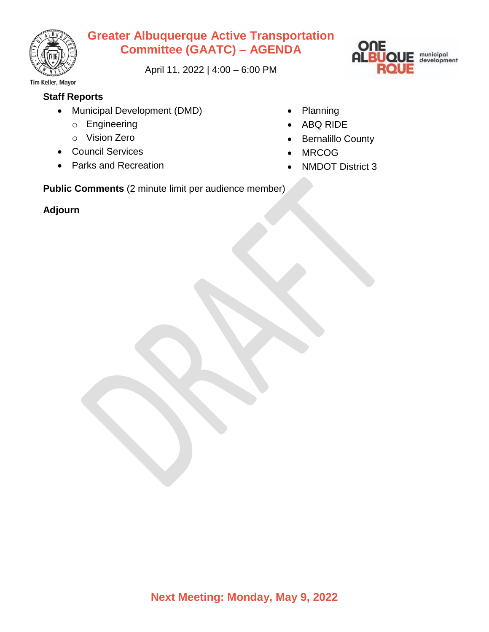

# **Greater Albuquerque Active Transportation Committee (GAATC) – AGENDA**

April 11, 2022 | 4:00 – 6:00 PM



Tim Keller, Mayor

## **Staff Reports**

- Municipal Development (DMD)
	- o Engineering
	- o Vision Zero
- Council Services
- Parks and Recreation
- Planning
- ABQ RIDE
- Bernalillo County
- MRCOG
- NMDOT District 3

**Public Comments** (2 minute limit per audience member)

## **Adjourn**